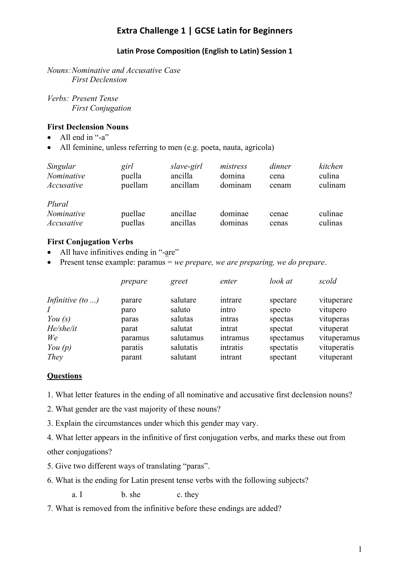# **Extra Challenge 1 | GCSE Latin for Beginners**

### **Latin Prose Composition (English to Latin) Session 1**

*Nouns:Nominative and Accusative Case First Declension*

*Verbs: Present Tense First Conjugation*

### **First Declension Nouns**

- All end in "-a"
- All feminine, unless referring to men (e.g. poeta, nauta, agricola)

| Singular                           | girl               | slave-girl           | mistress           | dinner         | kitchen            |
|------------------------------------|--------------------|----------------------|--------------------|----------------|--------------------|
| Nominative                         | puella             | ancilla              | domina             | cena           | culina             |
| Accusative                         | puellam            | ancillam             | dominam            | cenam          | culinam            |
| Plural<br>Nominative<br>Accusative | puellae<br>puellas | ancillae<br>ancillas | dominae<br>dominas | cenae<br>cenas | culinae<br>culinas |

### **First Conjugation Verbs**

- All have infinitives ending in "-are"
- Present tense example: paramus = *we prepare, we are preparing, we do prepare*.

|                         | prepare | greet     | enter    | look at   | scold       |
|-------------------------|---------|-----------|----------|-----------|-------------|
| Infinitive $(to \dots)$ | parare  | salutare  | intrare  | spectare  | vituperare  |
|                         | paro    | saluto    | intro    | specto    | vitupero    |
| You $(s)$               | paras   | salutas   | intras   | spectas   | vituperas   |
| He/she/it               | parat   | salutat   | intrat   | spectat   | vituperat   |
| We                      | paramus | salutamus | intramus | spectamus | vituperamus |
| You $(p)$               | paratis | salutatis | intratis | spectatis | vituperatis |
| They                    | parant  | salutant  | intrant  | spectant  | vituperant  |

## **Questions**

1. What letter features in the ending of all nominative and accusative first declension nouns?

2. What gender are the vast majority of these nouns?

3. Explain the circumstances under which this gender may vary.

4. What letter appears in the infinitive of first conjugation verbs, and marks these out from other conjugations?

- 5. Give two different ways of translating "paras".
- 6. What is the ending for Latin present tense verbs with the following subjects?

a. I b. she c. they

7. What is removed from the infinitive before these endings are added?